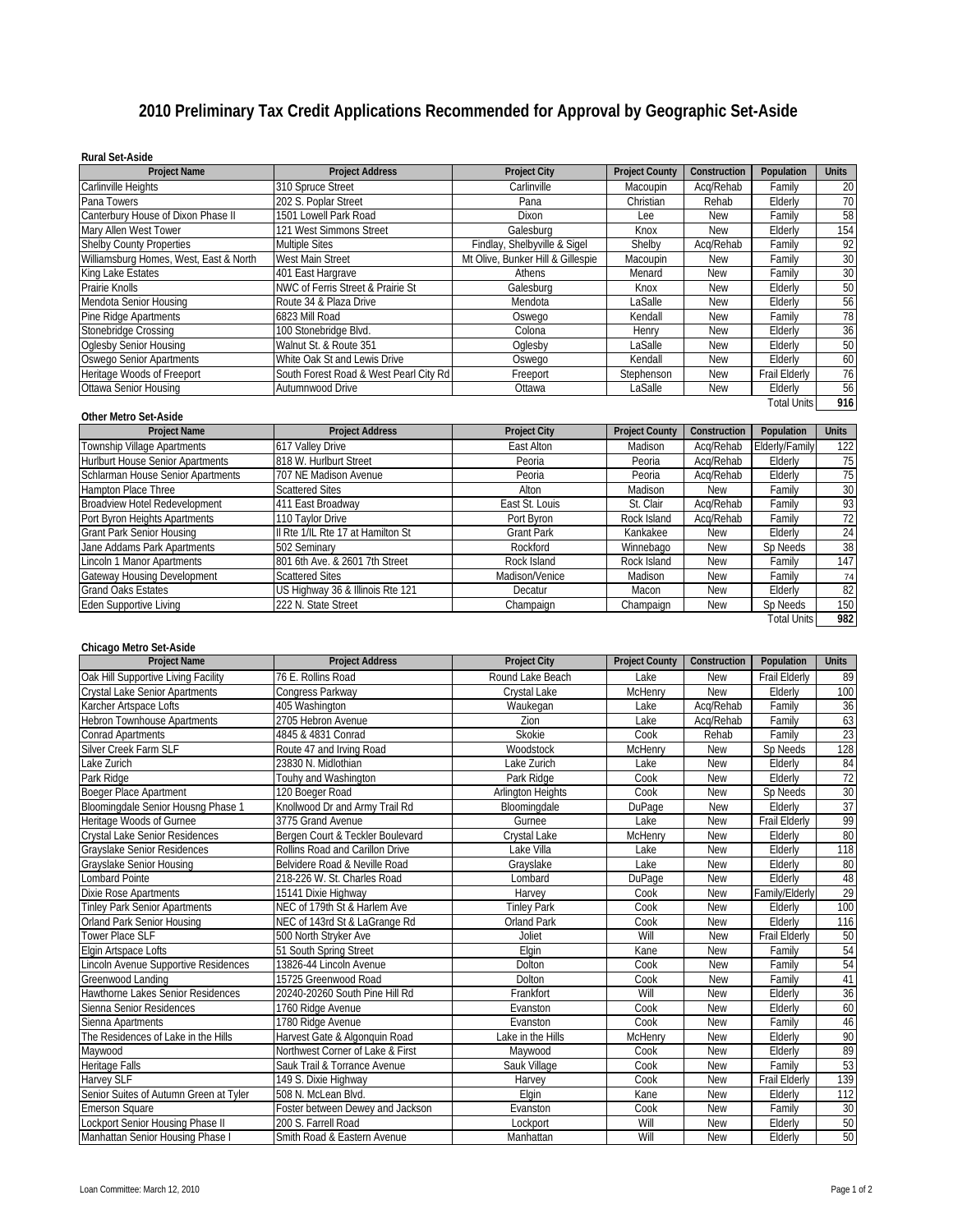# **2010 Preliminary Tax Credit Applications Recommended for Approval by Geographic Set-Aside**

#### **Rural Set-Aside**

| <b>Project Name</b>                    | <b>Project Address</b>                 | <b>Project City</b>               | <b>Project County</b> | Construction | Population         | <b>Units</b> |
|----------------------------------------|----------------------------------------|-----------------------------------|-----------------------|--------------|--------------------|--------------|
| Carlinville Heights                    | 310 Spruce Street                      | Carlinville                       | Macoupin              | Acq/Rehab    | Familv             | 20           |
| Pana Towers                            | 202 S. Poplar Street                   | Pana                              | Christian             | Rehab        | Elderly            | 70           |
| Canterbury House of Dixon Phase II     | 1501 Lowell Park Road                  | <b>Dixon</b>                      | Lee                   | <b>New</b>   | Familv             | 58           |
| Mary Allen West Tower                  | 121 West Simmons Street                | Galesburg                         | Knox                  | <b>New</b>   | Elderly            | 154          |
| <b>Shelby County Properties</b>        | <b>Multiple Sites</b>                  | Findlay, Shelbyville & Sigel      | Shelby                | Acq/Rehab    | Family             | 92           |
| Williamsburg Homes, West, East & North | <b>West Main Street</b>                | Mt Olive, Bunker Hill & Gillespie | Macoupin              | New          | Family             | 30           |
| King Lake Estates                      | 401 East Hargrave                      | Athens                            | Menard                | <b>New</b>   | Familv             | 30           |
| Prairie Knolls                         | NWC of Ferris Street & Prairie St      | Galesburg                         | Knox                  | New          | Elderly            | 50           |
| Mendota Senior Housing                 | Route 34 & Plaza Drive                 | Mendota                           | LaSalle               | <b>New</b>   | Elderly            | 56           |
| Pine Ridge Apartments                  | 6823 Mill Road                         | Oswego                            | Kendall               | <b>New</b>   | Familv             | 78           |
| Stonebridge Crossing                   | 100 Stonebridge Blvd.                  | Colona                            | Henry                 | New          | Elderly            | 36           |
| Oglesby Senior Housing                 | Walnut St. & Route 351                 | Oglesby                           | LaSalle               | New          | Elderly            | 50           |
| <b>Oswego Senior Apartments</b>        | White Oak St and Lewis Drive           | Oswego                            | Kendall               | New          | Elderly            | 60           |
| Heritage Woods of Freeport             | South Forest Road & West Pearl City Rd | Freeport                          | Stephenson            | New          | Frail Elderly      | 76           |
| Ottawa Senior Housing                  | Autumnwood Drive                       | Ottawa                            | LaSalle               | <b>New</b>   | Elderly            | 56           |
|                                        |                                        |                                   |                       |              | <b>Total Units</b> | 916          |

## **Other Metro Set-Aside**

| <b>Project Name</b>                     | <b>Project Address</b>            | <b>Project City</b> | <b>Project County</b> | Construction | Population         | Units |
|-----------------------------------------|-----------------------------------|---------------------|-----------------------|--------------|--------------------|-------|
| Township Village Apartments             | 617 Valley Drive                  | East Alton          | Madison               | Acq/Rehab    | Elderly/Family     | 122   |
| <b>Hurlburt House Senior Apartments</b> | 818 W. Hurlburt Street            | Peoria              | Peoria                | Acq/Rehab    | Elderly            | 75    |
| Schlarman House Senior Apartments       | 707 NE Madison Avenue             | Peoria              | Peoria                | Acg/Rehab    | Elderly            | 75    |
| Hampton Place Three                     | <b>Scattered Sites</b>            | Alton               | Madison               | New          | Family             | 30    |
| Broadview Hotel Redevelopment           | 411 East Broadway                 | East St. Louis      | St. Clair             | Acq/Rehab    | Family             | 93    |
| Port Byron Heights Apartments           | 110 Taylor Drive                  | Port Byron          | Rock Island           | Acq/Rehab    | Familv             | 72    |
| <b>Grant Park Senior Housing</b>        | Il Rte 1/IL Rte 17 at Hamilton St | Grant Park          | Kankakee              | <b>New</b>   | Elderly            | 24    |
| Jane Addams Park Apartments             | 502 Seminary                      | Rockford            | Winnebago             | <b>New</b>   | Sp Needs           | 38    |
| Lincoln 1 Manor Apartments              | 801 6th Ave. & 2601 7th Street    | Rock Island         | Rock Island           | <b>New</b>   | Family             | 147   |
| Gateway Housing Development             | <b>Scattered Sites</b>            | Madison/Venice      | Madison               | <b>New</b>   | Family             | 74    |
| <b>Grand Oaks Estates</b>               | US Highway 36 & Illinois Rte 121  | Decatur             | Macon                 | New          | Elderly            | 82    |
| Eden Supportive Living                  | 222 N. State Street               | Champaign           | Champaign             | New          | Sp Needs           | 150   |
|                                         |                                   |                     |                       |              | <b>Total Units</b> | 982   |

## **Chicago Metro Set-Aside**

| <b>Project Name</b>                    | <b>Project Address</b>           | <b>Project City</b>      | <b>Project County</b> | Construction | Population           | <b>Units</b>    |
|----------------------------------------|----------------------------------|--------------------------|-----------------------|--------------|----------------------|-----------------|
| Oak Hill Supportive Living Facility    | 76 E. Rollins Road               | Round Lake Beach         | Lake                  | <b>New</b>   | <b>Frail Elderly</b> | 89              |
| <b>Crystal Lake Senior Apartments</b>  | Congress Parkway                 | Crystal Lake             | McHenry               | <b>New</b>   | Elderly              | 100             |
| Karcher Artspace Lofts                 | 405 Washington                   | Waukegan                 | Lake                  | Acq/Rehab    | Family               | 36              |
| <b>Hebron Townhouse Apartments</b>     | 2705 Hebron Avenue               | Zion                     | Lake                  | Acq/Rehab    | Family               | 63              |
| <b>Conrad Apartments</b>               | 4845 & 4831 Conrad               | Skokie                   | Cook                  | Rehab        | Family               | 23              |
| Silver Creek Farm SLF                  | Route 47 and Irving Road         | Woodstock                | McHenry               | <b>New</b>   | Sp Needs             | 128             |
| Lake Zurich                            | 23830 N. Midlothian              | Lake Zurich              | Lake                  | <b>New</b>   | Elderly              | 84              |
| Park Ridge                             | Touhy and Washington             | Park Ridge               | Cook                  | <b>New</b>   | Elderly              | 72              |
| Boeger Place Apartment                 | 120 Boeger Road                  | <b>Arlington Heights</b> | Cook                  | <b>New</b>   | Sp Needs             | 30              |
| Bloomingdale Senior Housng Phase 1     | Knollwood Dr and Army Trail Rd   | Bloomingdale             | DuPage                | <b>New</b>   | Elderly              | $\frac{37}{99}$ |
| Heritage Woods of Gurnee               | 3775 Grand Avenue                | Gurnee                   | Lake                  | <b>New</b>   | <b>Frail Elderly</b> |                 |
| <b>Crystal Lake Senior Residences</b>  | Bergen Court & Teckler Boulevard | Crystal Lake             | McHenry               | <b>New</b>   | Elderly              | 80              |
| <b>Grayslake Senior Residences</b>     | Rollins Road and Carillon Drive  | Lake Villa               | Lake                  | <b>New</b>   | Elderly              | 118             |
| <b>Grayslake Senior Housing</b>        | Belvidere Road & Neville Road    | Grayslake                | Lake                  | <b>New</b>   | Elderly              | 80              |
| <b>Lombard Pointe</b>                  | 218-226 W. St. Charles Road      | Lombard                  | DuPage                | <b>New</b>   | Elderly              | 48              |
| Dixie Rose Apartments                  | 15141 Dixie Highway              | Harvey                   | Cook                  | <b>New</b>   | Family/Elderly       | 29              |
| <b>Tinley Park Senior Apartments</b>   | NEC of 179th St & Harlem Ave     | <b>Tinley Park</b>       | Cook                  | <b>New</b>   | Elderly              | 100             |
| <b>Orland Park Senior Housing</b>      | NEC of 143rd St & LaGrange Rd    | <b>Orland Park</b>       | Cook                  | <b>New</b>   | Elderly              | 116             |
| <b>Tower Place SLF</b>                 | 500 North Stryker Ave            | Joliet                   | Will                  | <b>New</b>   | <b>Frail Elderly</b> | 50              |
| Elgin Artspace Lofts                   | 51 South Spring Street           | Elain                    | Kane                  | <b>New</b>   | Family               | 54              |
| Lincoln Avenue Supportive Residences   | 13826-44 Lincoln Avenue          | <b>Dolton</b>            | Cook                  | <b>New</b>   | Family               | 54              |
| Greenwood Landing                      | 15725 Greenwood Road             | Dolton                   | Cook                  | <b>New</b>   | Family               | 41              |
| Hawthorne Lakes Senior Residences      | 20240-20260 South Pine Hill Rd   | Frankfort                | Will                  | <b>New</b>   | Elderly              | 36              |
| Sienna Senior Residences               | 1760 Ridge Avenue                | Evanston                 | Cook                  | <b>New</b>   | Elderly              | 60              |
| Sienna Apartments                      | 1780 Ridge Avenue                | Evanston                 | Cook                  | <b>New</b>   | Family               | 46              |
| The Residences of Lake in the Hills    | Harvest Gate & Algonguin Road    | Lake in the Hills        | McHenry               | <b>New</b>   | Elderly              | 90              |
| Maywood                                | Northwest Corner of Lake & First | Maywood                  | Cook                  | <b>New</b>   | Elderly              | 89              |
| Heritage Falls                         | Sauk Trail & Torrance Avenue     | Sauk Village             | Cook                  | <b>New</b>   | Family               | 53              |
| Harvey SLF                             | 149 S. Dixie Highway             | Harvey                   | Cook                  | <b>New</b>   | <b>Frail Elderly</b> | 139             |
| Senior Suites of Autumn Green at Tyler | 508 N. McLean Blvd.              | Elgin                    | Kane                  | <b>New</b>   | Elderly              | 112             |
| <b>Emerson Square</b>                  | Foster between Dewey and Jackson | Evanston                 | Cook                  | <b>New</b>   | Family               | 30              |
| Lockport Senior Housing Phase II       | 200 S. Farrell Road              | Lockport                 | Will                  | <b>New</b>   | Elderly              | $50\,$          |
| Manhattan Senior Housing Phase I       | Smith Road & Eastern Avenue      | Manhattan                | Will                  | <b>New</b>   | Elderly              | 50              |